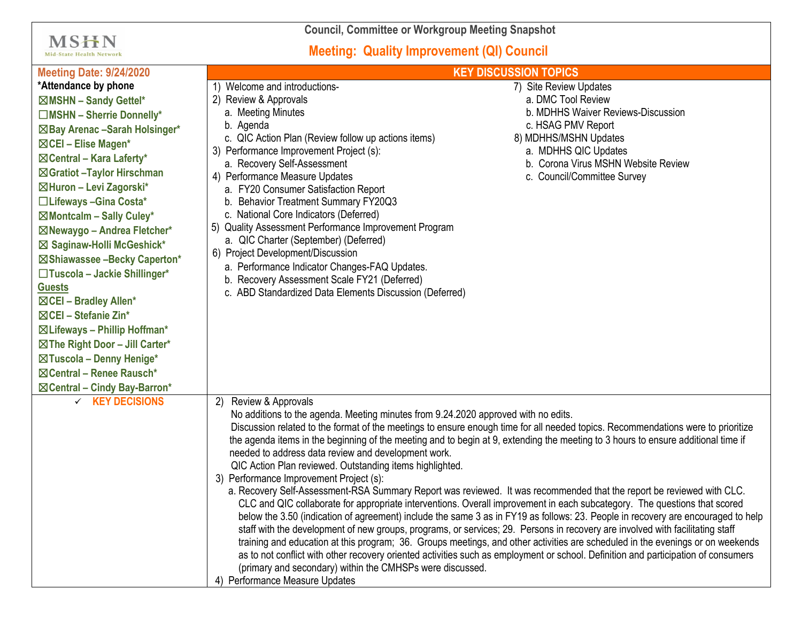**Council, Committee or Workgroup Meeting Snapshot**

## **Meeting: Quality Improvement (QI) Council**

**MSHN** 

| <b>Mid-State Health Network</b>                                                                                                                                                                                                                                                                                                                                                                                                                                                                                                                                                                                                                                             | <b>Meeting: Quality Improvement (QI) Council</b><br><b>KEY DISCUSSION TOPICS</b>                                                                                                                                                                                                                                                                                                                                                                                                                                                                                                                                                                                                       |                                                                                                                                                                                                                                                                                                                                                                                                                                                                                                                                                                                                                                                                                                                                                                                                                                                                                                                                                                                                                                                                          |
|-----------------------------------------------------------------------------------------------------------------------------------------------------------------------------------------------------------------------------------------------------------------------------------------------------------------------------------------------------------------------------------------------------------------------------------------------------------------------------------------------------------------------------------------------------------------------------------------------------------------------------------------------------------------------------|----------------------------------------------------------------------------------------------------------------------------------------------------------------------------------------------------------------------------------------------------------------------------------------------------------------------------------------------------------------------------------------------------------------------------------------------------------------------------------------------------------------------------------------------------------------------------------------------------------------------------------------------------------------------------------------|--------------------------------------------------------------------------------------------------------------------------------------------------------------------------------------------------------------------------------------------------------------------------------------------------------------------------------------------------------------------------------------------------------------------------------------------------------------------------------------------------------------------------------------------------------------------------------------------------------------------------------------------------------------------------------------------------------------------------------------------------------------------------------------------------------------------------------------------------------------------------------------------------------------------------------------------------------------------------------------------------------------------------------------------------------------------------|
| <b>Meeting Date: 9/24/2020</b>                                                                                                                                                                                                                                                                                                                                                                                                                                                                                                                                                                                                                                              |                                                                                                                                                                                                                                                                                                                                                                                                                                                                                                                                                                                                                                                                                        |                                                                                                                                                                                                                                                                                                                                                                                                                                                                                                                                                                                                                                                                                                                                                                                                                                                                                                                                                                                                                                                                          |
| *Attendance by phone<br>⊠MSHN - Sandy Gettel*<br>□MSHN - Sherrie Donnelly*<br>⊠Bay Arenac -Sarah Holsinger*<br>$\boxtimes$ CEI – Elise Magen*<br>$\boxtimes$ Central – Kara Laferty*<br>⊠Gratiot - Taylor Hirschman<br>⊠Huron - Levi Zagorski*<br>□Lifeways - Gina Costa*<br>$\boxtimes$ Montcalm - Sally Culey*<br>⊠Newaygo - Andrea Fletcher*<br>⊠ Saginaw-Holli McGeshick*<br>⊠Shiawassee -Becky Caperton*<br>□Tuscola - Jackie Shillinger*<br><b>Guests</b><br>⊠CEI - Bradley Allen*<br>$\boxtimes$ CEI – Stefanie Zin*<br>$\boxtimes$ Lifeways - Phillip Hoffman*<br>⊠The Right Door - Jill Carter*<br>⊠Tuscola - Denny Henige*<br>$\boxtimes$ Central – Renee Rausch* | Welcome and introductions-<br>2) Review & Approvals<br>a. Meeting Minutes<br>b. Agenda<br>c. QIC Action Plan (Review follow up actions items)<br>3) Performance Improvement Project (s):<br>a. Recovery Self-Assessment<br>4) Performance Measure Updates<br>a. FY20 Consumer Satisfaction Report<br>b. Behavior Treatment Summary FY20Q3<br>c. National Core Indicators (Deferred)<br>5) Quality Assessment Performance Improvement Program<br>a. QIC Charter (September) (Deferred)<br>6) Project Development/Discussion<br>a. Performance Indicator Changes-FAQ Updates.<br>b. Recovery Assessment Scale FY21 (Deferred)<br>c. ABD Standardized Data Elements Discussion (Deferred) | 7) Site Review Updates<br>a. DMC Tool Review<br>b. MDHHS Waiver Reviews-Discussion<br>c. HSAG PMV Report<br>8) MDHHS/MSHN Updates<br>a. MDHHS QIC Updates<br>b. Corona Virus MSHN Website Review<br>c. Council/Committee Survey                                                                                                                                                                                                                                                                                                                                                                                                                                                                                                                                                                                                                                                                                                                                                                                                                                          |
| $\checkmark$ KEY DECISIONS                                                                                                                                                                                                                                                                                                                                                                                                                                                                                                                                                                                                                                                  | Review & Approvals<br>2)<br>No additions to the agenda. Meeting minutes from 9.24.2020 approved with no edits.<br>needed to address data review and development work.<br>QIC Action Plan reviewed. Outstanding items highlighted.<br>3) Performance Improvement Project (s):<br>(primary and secondary) within the CMHSPs were discussed.<br>4) Performance Measure Updates                                                                                                                                                                                                                                                                                                            | Discussion related to the format of the meetings to ensure enough time for all needed topics. Recommendations were to prioritize<br>the agenda items in the beginning of the meeting and to begin at 9, extending the meeting to 3 hours to ensure additional time if<br>a. Recovery Self-Assessment-RSA Summary Report was reviewed. It was recommended that the report be reviewed with CLC.<br>CLC and QIC collaborate for appropriate interventions. Overall improvement in each subcategory. The questions that scored<br>below the 3.50 (indication of agreement) include the same 3 as in FY19 as follows: 23. People in recovery are encouraged to help<br>staff with the development of new groups, programs, or services; 29. Persons in recovery are involved with facilitating staff<br>training and education at this program; 36. Groups meetings, and other activities are scheduled in the evenings or on weekends<br>as to not conflict with other recovery oriented activities such as employment or school. Definition and participation of consumers |